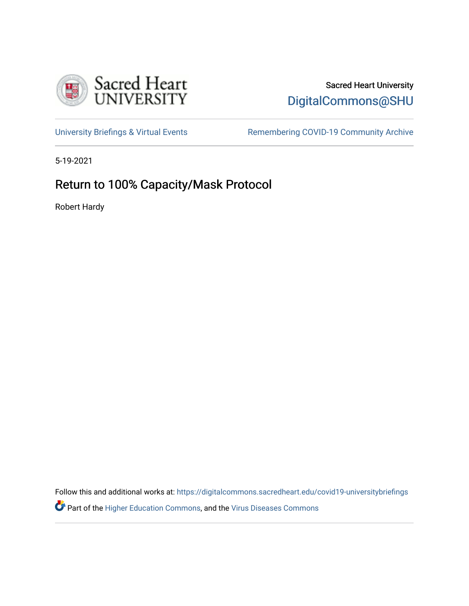

## Sacred Heart University [DigitalCommons@SHU](https://digitalcommons.sacredheart.edu/)

[University Briefings & Virtual Events](https://digitalcommons.sacredheart.edu/covid19-universitybriefings) Remembering COVID-19 Community Archive

5-19-2021

# Return to 100% Capacity/Mask Protocol

Robert Hardy

Follow this and additional works at: [https://digitalcommons.sacredheart.edu/covid19-universitybriefings](https://digitalcommons.sacredheart.edu/covid19-universitybriefings?utm_source=digitalcommons.sacredheart.edu%2Fcovid19-universitybriefings%2F74&utm_medium=PDF&utm_campaign=PDFCoverPages) **Part of the [Higher Education Commons,](http://network.bepress.com/hgg/discipline/1245?utm_source=digitalcommons.sacredheart.edu%2Fcovid19-universitybriefings%2F74&utm_medium=PDF&utm_campaign=PDFCoverPages) and the [Virus Diseases Commons](http://network.bepress.com/hgg/discipline/998?utm_source=digitalcommons.sacredheart.edu%2Fcovid19-universitybriefings%2F74&utm_medium=PDF&utm_campaign=PDFCoverPages)**